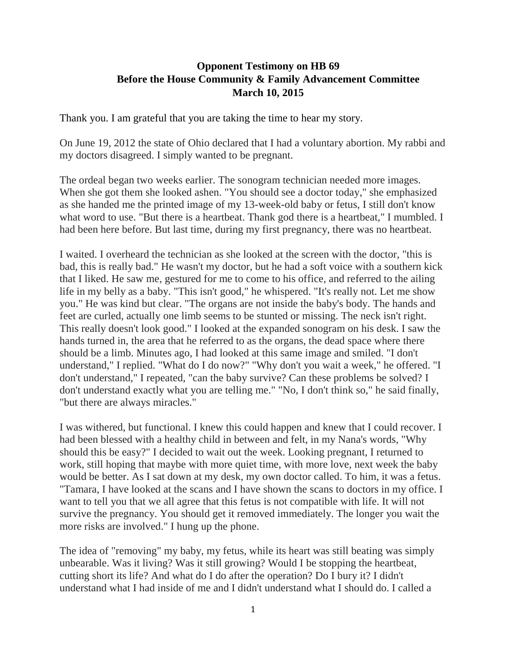## **Opponent Testimony on HB 69 Before the House Community & Family Advancement Committee March 10, 2015**

Thank you. I am grateful that you are taking the time to hear my story.

On June 19, 2012 the state of Ohio declared that I had a voluntary abortion. My rabbi and my doctors disagreed. I simply wanted to be pregnant.

The ordeal began two weeks earlier. The sonogram technician needed more images. When she got them she looked ashen. "You should see a doctor today," she emphasized as she handed me the printed image of my 13-week-old baby or fetus, I still don't know what word to use. "But there is a heartbeat. Thank god there is a heartbeat," I mumbled. I had been here before. But last time, during my first pregnancy, there was no heartbeat.

I waited. I overheard the technician as she looked at the screen with the doctor, "this is bad, this is really bad." He wasn't my doctor, but he had a soft voice with a southern kick that I liked. He saw me, gestured for me to come to his office, and referred to the ailing life in my belly as a baby. "This isn't good," he whispered. "It's really not. Let me show you." He was kind but clear. "The organs are not inside the baby's body. The hands and feet are curled, actually one limb seems to be stunted or missing. The neck isn't right. This really doesn't look good." I looked at the expanded sonogram on his desk. I saw the hands turned in, the area that he referred to as the organs, the dead space where there should be a limb. Minutes ago, I had looked at this same image and smiled. "I don't understand," I replied. "What do I do now?" "Why don't you wait a week," he offered. "I don't understand," I repeated, "can the baby survive? Can these problems be solved? I don't understand exactly what you are telling me." "No, I don't think so," he said finally, "but there are always miracles."

I was withered, but functional. I knew this could happen and knew that I could recover. I had been blessed with a healthy child in between and felt, in my Nana's words, "Why should this be easy?" I decided to wait out the week. Looking pregnant, I returned to work, still hoping that maybe with more quiet time, with more love, next week the baby would be better. As I sat down at my desk, my own doctor called. To him, it was a fetus. "Tamara, I have looked at the scans and I have shown the scans to doctors in my office. I want to tell you that we all agree that this fetus is not compatible with life. It will not survive the pregnancy. You should get it removed immediately. The longer you wait the more risks are involved." I hung up the phone.

The idea of "removing" my baby, my fetus, while its heart was still beating was simply unbearable. Was it living? Was it still growing? Would I be stopping the heartbeat, cutting short its life? And what do I do after the operation? Do I bury it? I didn't understand what I had inside of me and I didn't understand what I should do. I called a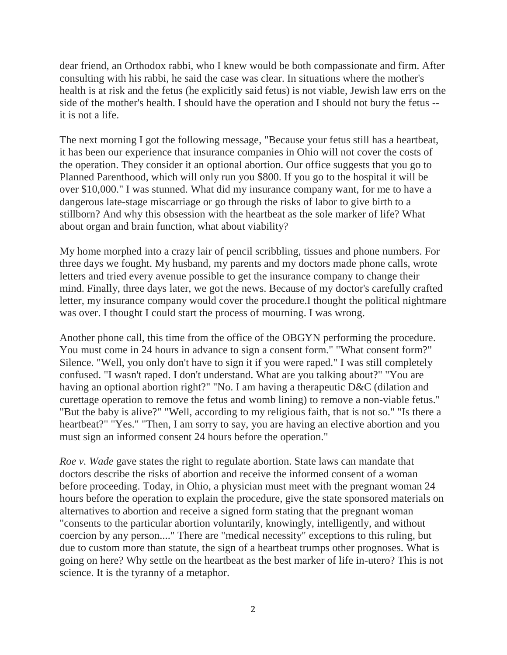dear friend, an Orthodox rabbi, who I knew would be both compassionate and firm. After consulting with his rabbi, he said the case was clear. In situations where the mother's health is at risk and the fetus (he explicitly said fetus) is not viable, Jewish law errs on the side of the mother's health. I should have the operation and I should not bury the fetus - it is not a life.

The next morning I got the following message, "Because your fetus still has a heartbeat, it has been our experience that insurance companies in Ohio will not cover the costs of the operation. They consider it an optional abortion. Our office suggests that you go to Planned Parenthood, which will only run you \$800. If you go to the hospital it will be over \$10,000." I was stunned. What did my insurance company want, for me to have a dangerous late-stage miscarriage or go through the risks of labor to give birth to a stillborn? And why this obsession with the heartbeat as the sole marker of life? What about organ and brain function, what about viability?

My home morphed into a crazy lair of pencil scribbling, tissues and phone numbers. For three days we fought. My husband, my parents and my doctors made phone calls, wrote letters and tried every avenue possible to get the insurance company to change their mind. Finally, three days later, we got the news. Because of my doctor's carefully crafted letter, my insurance company would cover the procedure.I thought the political nightmare was over. I thought I could start the process of mourning. I was wrong.

Another phone call, this time from the office of the OBGYN performing the procedure. You must come in 24 hours in advance to sign a consent form." "What consent form?" Silence. "Well, you only don't have to sign it if you were raped." I was still completely confused. "I wasn't raped. I don't understand. What are you talking about?" "You are having an optional abortion right?" "No. I am having a therapeutic D&C (dilation and curettage operation to remove the fetus and womb lining) to remove a non-viable fetus." "But the baby is alive?" "Well, according to my religious faith, that is not so." "Is there a heartbeat?" "Yes." "Then, I am sorry to say, you are having an elective abortion and you must sign an informed consent 24 hours before the operation."

*Roe v. Wade* gave states the right to regulate abortion. State laws can mandate that doctors describe the risks of abortion and receive the informed consent of a woman before proceeding. Today, in Ohio, a physician must meet with the pregnant woman 24 hours before the operation to explain the procedure, give the state sponsored materials on alternatives to abortion and receive a signed form stating that the pregnant woman "consents to the particular abortion voluntarily, knowingly, intelligently, and without coercion by any person...." There are "medical necessity" exceptions to this ruling, but due to custom more than statute, the sign of a heartbeat trumps other prognoses. What is going on here? Why settle on the heartbeat as the best marker of life in-utero? This is not science. It is the tyranny of a metaphor.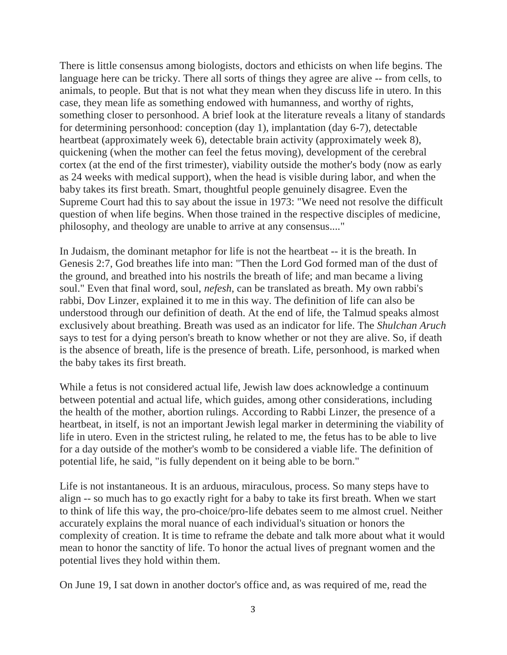There is little consensus among biologists, doctors and ethicists on when life begins. The language here can be tricky. There all sorts of things they agree are alive -- from cells, to animals, to people. But that is not what they mean when they discuss life in utero. In this case, they mean life as something endowed with humanness, and worthy of rights, something closer to personhood. A brief look at the literature reveals a litany of standards for determining personhood: conception (day 1), implantation (day 6-7), detectable heartbeat (approximately week 6), detectable brain activity (approximately week 8), quickening (when the mother can feel the fetus moving), development of the cerebral cortex (at the end of the first trimester), viability outside the mother's body (now as early as 24 weeks with medical support), when the head is visible during labor, and when the baby takes its first breath. Smart, thoughtful people genuinely disagree. Even the Supreme Court had this to say about the issue in 1973: "We need not resolve the difficult question of when life begins. When those trained in the respective disciples of medicine, philosophy, and theology are unable to arrive at any consensus...."

In Judaism, the dominant metaphor for life is not the heartbeat -- it is the breath. In Genesis 2:7, God breathes life into man: "Then the Lord God formed man of the dust of the ground, and breathed into his nostrils the breath of life; and man became a living soul." Even that final word, soul, *nefesh*, can be translated as breath. My own rabbi's rabbi, Dov Linzer, explained it to me in this way. The definition of life can also be understood through our definition of death. At the end of life, the Talmud speaks almost exclusively about breathing. Breath was used as an indicator for life. The *Shulchan Aruch* says to test for a dying person's breath to know whether or not they are alive. So, if death is the absence of breath, life is the presence of breath. Life, personhood, is marked when the baby takes its first breath.

While a fetus is not considered actual life, Jewish law does acknowledge a continuum between potential and actual life, which guides, among other considerations, including the health of the mother, abortion rulings. According to Rabbi Linzer, the presence of a heartbeat, in itself, is not an important Jewish legal marker in determining the viability of life in utero. Even in the strictest ruling, he related to me, the fetus has to be able to live for a day outside of the mother's womb to be considered a viable life. The definition of potential life, he said, "is fully dependent on it being able to be born."

Life is not instantaneous. It is an arduous, miraculous, process. So many steps have to align -- so much has to go exactly right for a baby to take its first breath. When we start to think of life this way, the pro-choice/pro-life debates seem to me almost cruel. Neither accurately explains the moral nuance of each individual's situation or honors the complexity of creation. It is time to reframe the debate and talk more about what it would mean to honor the sanctity of life. To honor the actual lives of pregnant women and the potential lives they hold within them.

On June 19, I sat down in another doctor's office and, as was required of me, read the